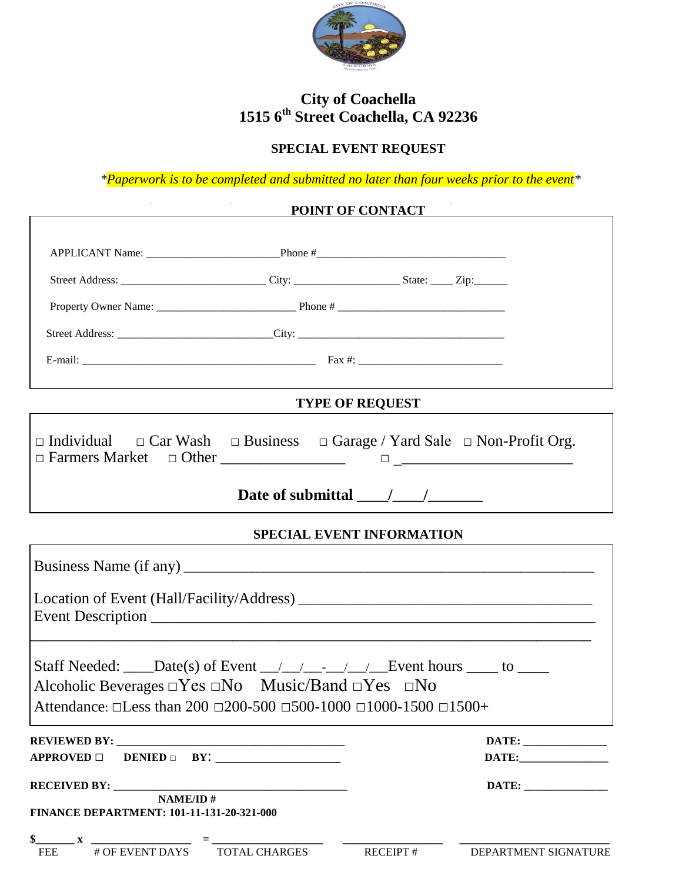

### **City of Coachella 1515 6th Street Coachella, CA 92236**

# **SPECIAL EVENT REQUEST**

*\*Paperwork is to be completed and submitted no later than four weeks prior to the event\**

|                                                                                                                                                                            |                      | POINT OF CONTACT                       |                      |
|----------------------------------------------------------------------------------------------------------------------------------------------------------------------------|----------------------|----------------------------------------|----------------------|
|                                                                                                                                                                            |                      |                                        |                      |
|                                                                                                                                                                            |                      |                                        |                      |
|                                                                                                                                                                            |                      |                                        |                      |
|                                                                                                                                                                            |                      |                                        |                      |
|                                                                                                                                                                            |                      |                                        |                      |
|                                                                                                                                                                            |                      | <b>TYPE OF REQUEST</b>                 |                      |
| $\Box$ Individual $\Box$ Car Wash $\Box$ Business $\Box$ Garage / Yard Sale $\Box$ Non-Profit Org.                                                                         |                      |                                        |                      |
|                                                                                                                                                                            |                      | Date of submittal $\frac{\sqrt{2}}{2}$ |                      |
|                                                                                                                                                                            |                      | SPECIAL EVENT INFORMATION              |                      |
|                                                                                                                                                                            |                      |                                        |                      |
|                                                                                                                                                                            |                      |                                        |                      |
| Alcoholic Beverages $\Box Y$ es $\Box No$ Music/Band $\Box Yes$ $\Box No$<br>Attendance: $\Box$ Less than 200 $\Box$ 200-500 $\Box$ 500-1000 $\Box$ 1000-1500 $\Box$ 1500+ |                      |                                        |                      |
|                                                                                                                                                                            |                      |                                        |                      |
| <b>DENIED</b> $\Box$ <b>BY:</b><br><b>APPROVED</b> □                                                                                                                       |                      |                                        | DATE:                |
| <b>RECEIVED BY:</b><br><b>NAME/ID#</b><br><b>FINANCE DEPARTMENT: 101-11-131-20-321-000</b>                                                                                 |                      |                                        |                      |
| # OF EVENT DAYS<br><b>FEE</b>                                                                                                                                              | <b>TOTAL CHARGES</b> | <b>RECEIPT#</b>                        | DEPARTMENT SIGNATURE |